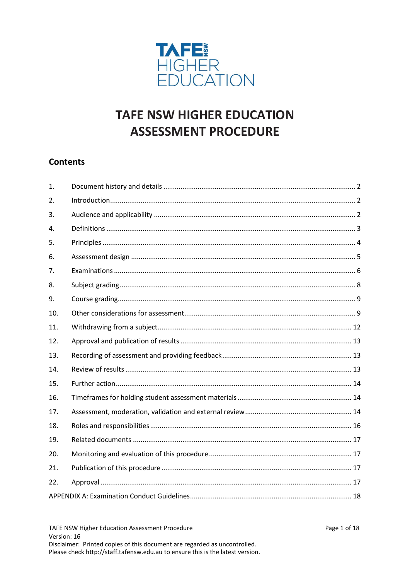

# **TAFE NSW HIGHER EDUCATION ASSESSMENT PROCEDURE**

# **Contents**

| 1.  |  |  |  |  |
|-----|--|--|--|--|
| 2.  |  |  |  |  |
| 3.  |  |  |  |  |
| 4.  |  |  |  |  |
| 5.  |  |  |  |  |
| 6.  |  |  |  |  |
| 7.  |  |  |  |  |
| 8.  |  |  |  |  |
| 9.  |  |  |  |  |
| 10. |  |  |  |  |
| 11. |  |  |  |  |
| 12. |  |  |  |  |
| 13. |  |  |  |  |
| 14. |  |  |  |  |
| 15. |  |  |  |  |
| 16. |  |  |  |  |
| 17. |  |  |  |  |
| 18. |  |  |  |  |
| 19. |  |  |  |  |
| 20. |  |  |  |  |
| 21. |  |  |  |  |
| 22. |  |  |  |  |
|     |  |  |  |  |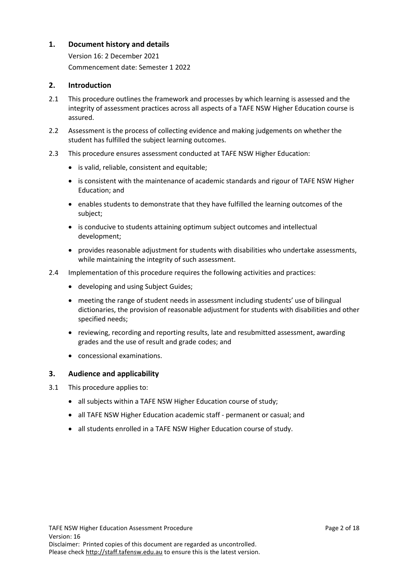# <span id="page-1-0"></span>**1. Document history and details**

Version 16: 2 December 2021 Commencement date: Semester 1 2022

# <span id="page-1-1"></span>**2. Introduction**

- 2.1 This procedure outlines the framework and processes by which learning is assessed and the integrity of assessment practices across all aspects of a TAFE NSW Higher Education course is assured.
- 2.2 Assessment is the process of collecting evidence and making judgements on whether the student has fulfilled the subject learning outcomes.
- 2.3 This procedure ensures assessment conducted at TAFE NSW Higher Education:
	- is valid, reliable, consistent and equitable;
	- is consistent with the maintenance of academic standards and rigour of TAFE NSW Higher Education; and
	- enables students to demonstrate that they have fulfilled the learning outcomes of the subject;
	- is conducive to students attaining optimum subject outcomes and intellectual development;
	- provides reasonable adjustment for students with disabilities who undertake assessments, while maintaining the integrity of such assessment.
- 2.4 Implementation of this procedure requires the following activities and practices:
	- developing and using Subject Guides;
	- meeting the range of student needs in assessment including students' use of bilingual dictionaries, the provision of reasonable adjustment for students with disabilities and other specified needs;
	- reviewing, recording and reporting results, late and resubmitted assessment, awarding grades and the use of result and grade codes; and
	- concessional examinations.

# <span id="page-1-2"></span>**3. Audience and applicability**

- 3.1 This procedure applies to:
	- all subjects within a TAFE NSW Higher Education course of study;
	- all TAFE NSW Higher Education academic staff permanent or casual; and
	- all students enrolled in a TAFE NSW Higher Education course of study.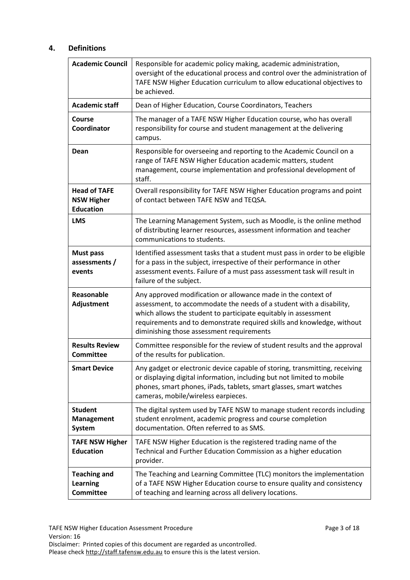# <span id="page-2-0"></span>**4. Definitions**

| <b>Academic Council</b>                                      | Responsible for academic policy making, academic administration,<br>oversight of the educational process and control over the administration of<br>TAFE NSW Higher Education curriculum to allow educational objectives to<br>be achieved.                                                                                      |  |  |  |
|--------------------------------------------------------------|---------------------------------------------------------------------------------------------------------------------------------------------------------------------------------------------------------------------------------------------------------------------------------------------------------------------------------|--|--|--|
| <b>Academic staff</b>                                        | Dean of Higher Education, Course Coordinators, Teachers                                                                                                                                                                                                                                                                         |  |  |  |
| Course<br>Coordinator                                        | The manager of a TAFE NSW Higher Education course, who has overall<br>responsibility for course and student management at the delivering<br>campus.                                                                                                                                                                             |  |  |  |
| Dean                                                         | Responsible for overseeing and reporting to the Academic Council on a<br>range of TAFE NSW Higher Education academic matters, student<br>management, course implementation and professional development of<br>staff.                                                                                                            |  |  |  |
| <b>Head of TAFE</b><br><b>NSW Higher</b><br><b>Education</b> | Overall responsibility for TAFE NSW Higher Education programs and point<br>of contact between TAFE NSW and TEQSA.                                                                                                                                                                                                               |  |  |  |
| <b>LMS</b>                                                   | The Learning Management System, such as Moodle, is the online method<br>of distributing learner resources, assessment information and teacher<br>communications to students.                                                                                                                                                    |  |  |  |
| <b>Must pass</b><br>assessments /<br>events                  | Identified assessment tasks that a student must pass in order to be eligible<br>for a pass in the subject, irrespective of their performance in other<br>assessment events. Failure of a must pass assessment task will result in<br>failure of the subject.                                                                    |  |  |  |
| Reasonable<br>Adjustment                                     | Any approved modification or allowance made in the context of<br>assessment, to accommodate the needs of a student with a disability,<br>which allows the student to participate equitably in assessment<br>requirements and to demonstrate required skills and knowledge, without<br>diminishing those assessment requirements |  |  |  |
| <b>Results Review</b><br><b>Committee</b>                    | Committee responsible for the review of student results and the approval<br>of the results for publication.                                                                                                                                                                                                                     |  |  |  |
| <b>Smart Device</b>                                          | Any gadget or electronic device capable of storing, transmitting, receiving<br>or displaying digital information, including but not limited to mobile<br>phones, smart phones, iPads, tablets, smart glasses, smart watches<br>cameras, mobile/wireless earpieces.                                                              |  |  |  |
| <b>Student</b><br><b>Management</b><br>System                | The digital system used by TAFE NSW to manage student records including<br>student enrolment, academic progress and course completion<br>documentation. Often referred to as SMS.                                                                                                                                               |  |  |  |
| <b>TAFE NSW Higher</b><br><b>Education</b>                   | TAFE NSW Higher Education is the registered trading name of the<br>Technical and Further Education Commission as a higher education<br>provider.                                                                                                                                                                                |  |  |  |
| <b>Teaching and</b><br><b>Learning</b><br><b>Committee</b>   | The Teaching and Learning Committee (TLC) monitors the implementation<br>of a TAFE NSW Higher Education course to ensure quality and consistency<br>of teaching and learning across all delivery locations.                                                                                                                     |  |  |  |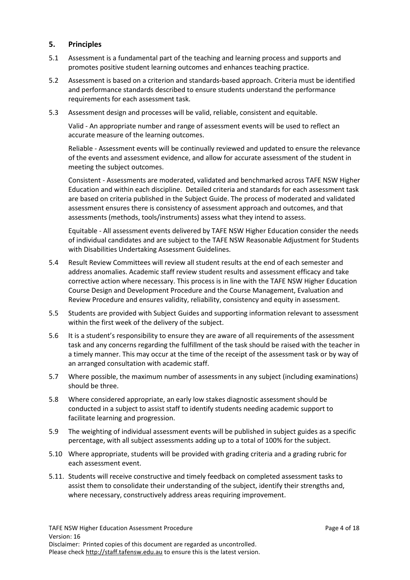# <span id="page-3-0"></span>**5. Principles**

- 5.1 Assessment is a fundamental part of the teaching and learning process and supports and promotes positive student learning outcomes and enhances teaching practice.
- 5.2 Assessment is based on a criterion and standards-based approach. Criteria must be identified and performance standards described to ensure students understand the performance requirements for each assessment task.
- 5.3 Assessment design and processes will be valid, reliable, consistent and equitable.

Valid - An appropriate number and range of assessment events will be used to reflect an accurate measure of the learning outcomes.

Reliable - Assessment events will be continually reviewed and updated to ensure the relevance of the events and assessment evidence, and allow for accurate assessment of the student in meeting the subject outcomes.

Consistent - Assessments are moderated, validated and benchmarked across TAFE NSW Higher Education and within each discipline. Detailed criteria and standards for each assessment task are based on criteria published in the Subject Guide. The process of moderated and validated assessment ensures there is consistency of assessment approach and outcomes, and that assessments (methods, tools/instruments) assess what they intend to assess.

Equitable - All assessment events delivered by TAFE NSW Higher Education consider the needs of individual candidates and are subject to the TAFE NSW Reasonable Adjustment for Students with Disabilities Undertaking Assessment Guidelines.

- 5.4 Result Review Committees will review all student results at the end of each semester and address anomalies. Academic staff review student results and assessment efficacy and take corrective action where necessary. This process is in line with the TAFE NSW Higher Education Course Design and Development Procedure and the Course Management, Evaluation and Review Procedure and ensures validity, reliability, consistency and equity in assessment.
- 5.5 Students are provided with Subject Guides and supporting information relevant to assessment within the first week of the delivery of the subject.
- 5.6 It is a student's responsibility to ensure they are aware of all requirements of the assessment task and any concerns regarding the fulfillment of the task should be raised with the teacher in a timely manner. This may occur at the time of the receipt of the assessment task or by way of an arranged consultation with academic staff.
- 5.7 Where possible, the maximum number of assessments in any subject (including examinations) should be three.
- 5.8 Where considered appropriate, an early low stakes diagnostic assessment should be conducted in a subject to assist staff to identify students needing academic support to facilitate learning and progression.
- 5.9 The weighting of individual assessment events will be published in subject guides as a specific percentage, with all subject assessments adding up to a total of 100% for the subject.
- 5.10 Where appropriate, students will be provided with grading criteria and a grading rubric for each assessment event.
- 5.11. Students will receive constructive and timely feedback on completed assessment tasks to assist them to consolidate their understanding of the subject, identify their strengths and, where necessary, constructively address areas requiring improvement.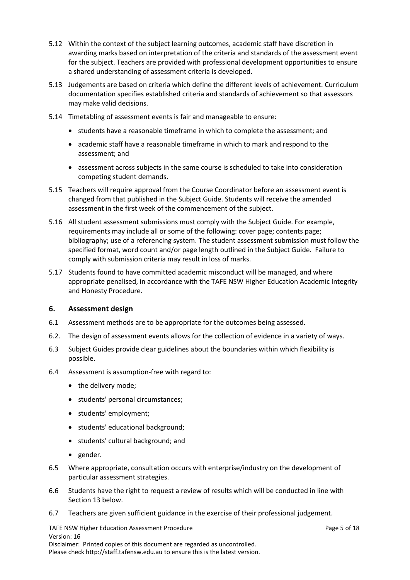- 5.12 Within the context of the subject learning outcomes, academic staff have discretion in awarding marks based on interpretation of the criteria and standards of the assessment event for the subject. Teachers are provided with professional development opportunities to ensure a shared understanding of assessment criteria is developed.
- 5.13 Judgements are based on criteria which define the different levels of achievement. Curriculum documentation specifies established criteria and standards of achievement so that assessors may make valid decisions.
- 5.14 Timetabling of assessment events is fair and manageable to ensure:
	- students have a reasonable timeframe in which to complete the assessment; and
	- academic staff have a reasonable timeframe in which to mark and respond to the assessment; and
	- assessment across subjects in the same course is scheduled to take into consideration competing student demands.
- 5.15 Teachers will require approval from the Course Coordinator before an assessment event is changed from that published in the Subject Guide. Students will receive the amended assessment in the first week of the commencement of the subject.
- 5.16 All student assessment submissions must comply with the Subject Guide. For example, requirements may include all or some of the following: cover page; contents page; bibliography; use of a referencing system. The student assessment submission must follow the specified format, word count and/or page length outlined in the Subject Guide. Failure to comply with submission criteria may result in loss of marks.
- 5.17 Students found to have committed academic misconduct will be managed, and where appropriate penalised, in accordance with the TAFE NSW Higher Education Academic Integrity and Honesty Procedure.

# <span id="page-4-0"></span>**6. Assessment design**

- 6.1 Assessment methods are to be appropriate for the outcomes being assessed.
- 6.2. The design of assessment events allows for the collection of evidence in a variety of ways.
- 6.3 Subject Guides provide clear guidelines about the boundaries within which flexibility is possible.
- 6.4 Assessment is assumption-free with regard to:
	- the delivery mode;
	- students' personal circumstances;
	- students' employment;
	- students' educational background;
	- students' cultural background; and
	- gender.
- 6.5 Where appropriate, consultation occurs with enterprise/industry on the development of particular assessment strategies.
- 6.6 Students have the right to request a review of results which will be conducted in line with Section 13 below.
- 6.7 Teachers are given sufficient guidance in the exercise of their professional judgement.

TAFE NSW Higher Education Assessment Procedure **Page 10 and 20 and 20 and 20 and 20 and 20 and 20 and 20 and 20 and 20 and 20 and 20 and 20 and 20 and 20 and 20 and 20 and 20 and 20 and 20 and 20 and 20 and 20 and 20 and 2** Version: 16 Disclaimer: Printed copies of this document are regarded as uncontrolled. Please check [http://staff.tafensw.edu.au](http://staff.tafensw.edu.au/) to ensure this is the latest version.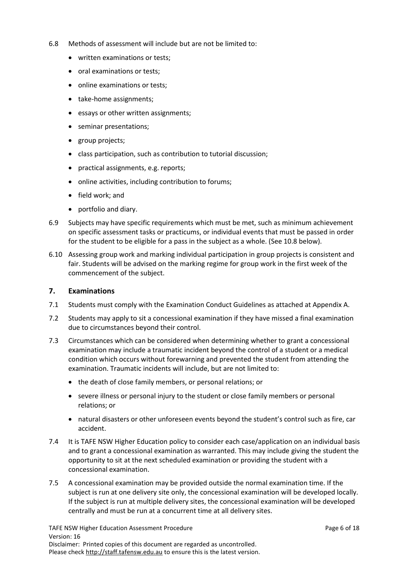- 6.8 Methods of assessment will include but are not be limited to:
	- written examinations or tests;
	- oral examinations or tests;
	- online examinations or tests;
	- take-home assignments;
	- essays or other written assignments;
	- seminar presentations;
	- group projects;
	- class participation, such as contribution to tutorial discussion;
	- practical assignments, e.g. reports;
	- online activities, including contribution to forums;
	- field work; and
	- portfolio and diary.
- 6.9 Subjects may have specific requirements which must be met, such as minimum achievement on specific assessment tasks or practicums, or individual events that must be passed in order for the student to be eligible for a pass in the subject as a whole. (See 10.8 below).
- 6.10 Assessing group work and marking individual participation in group projects is consistent and fair. Students will be advised on the marking regime for group work in the first week of the commencement of the subject.

#### <span id="page-5-0"></span>**7. Examinations**

- 7.1 Students must comply with the Examination Conduct Guidelines as attached at Appendix A.
- 7.2 Students may apply to sit a concessional examination if they have missed a final examination due to circumstances beyond their control.
- 7.3 Circumstances which can be considered when determining whether to grant a concessional examination may include a traumatic incident beyond the control of a student or a medical condition which occurs without forewarning and prevented the student from attending the examination. Traumatic incidents will include, but are not limited to:
	- the death of close family members, or personal relations; or
	- severe illness or personal injury to the student or close family members or personal relations; or
	- natural disasters or other unforeseen events beyond the student's control such as fire, car accident.
- 7.4 It is TAFE NSW Higher Education policy to consider each case/application on an individual basis and to grant a concessional examination as warranted. This may include giving the student the opportunity to sit at the next scheduled examination or providing the student with a concessional examination.
- 7.5 A concessional examination may be provided outside the normal examination time. If the subject is run at one delivery site only, the concessional examination will be developed locally. If the subject is run at multiple delivery sites, the concessional examination will be developed centrally and must be run at a concurrent time at all delivery sites.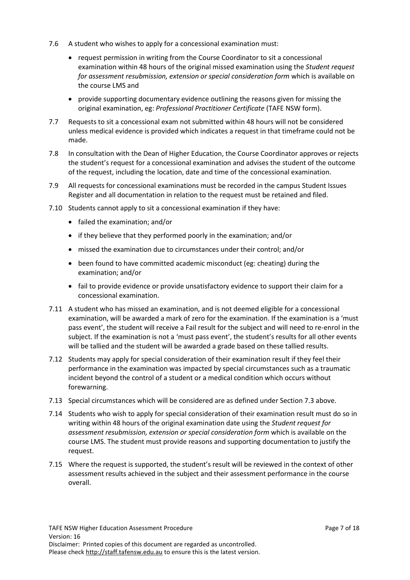- 7.6 A student who wishes to apply for a concessional examination must:
	- request permission in writing from the Course Coordinator to sit a concessional examination within 48 hours of the original missed examination using the *Student request for assessment resubmission, extension or special consideration form* which is available on the course LMS and
	- provide supporting documentary evidence outlining the reasons given for missing the original examination, eg: *Professional Practitioner Certificate* (TAFE NSW form).
- 7.7 Requests to sit a concessional exam not submitted within 48 hours will not be considered unless medical evidence is provided which indicates a request in that timeframe could not be made.
- 7.8 In consultation with the Dean of Higher Education, the Course Coordinator approves or rejects the student's request for a concessional examination and advises the student of the outcome of the request, including the location, date and time of the concessional examination.
- 7.9 All requests for concessional examinations must be recorded in the campus Student Issues Register and all documentation in relation to the request must be retained and filed.
- 7.10 Students cannot apply to sit a concessional examination if they have:
	- failed the examination; and/or
	- if they believe that they performed poorly in the examination; and/or
	- missed the examination due to circumstances under their control; and/or
	- been found to have committed academic misconduct (eg: cheating) during the examination; and/or
	- fail to provide evidence or provide unsatisfactory evidence to support their claim for a concessional examination.
- 7.11 A student who has missed an examination, and is not deemed eligible for a concessional examination, will be awarded a mark of zero for the examination. If the examination is a 'must pass event', the student will receive a Fail result for the subject and will need to re-enrol in the subject. If the examination is not a 'must pass event', the student's results for all other events will be tallied and the student will be awarded a grade based on these tallied results.
- 7.12 Students may apply for special consideration of their examination result if they feel their performance in the examination was impacted by special circumstances such as a traumatic incident beyond the control of a student or a medical condition which occurs without forewarning.
- 7.13 Special circumstances which will be considered are as defined under Section 7.3 above.
- 7.14 Students who wish to apply for special consideration of their examination result must do so in writing within 48 hours of the original examination date using the *Student request for assessment resubmission, extension or special consideration form* which is available on the course LMS. The student must provide reasons and supporting documentation to justify the request.
- 7.15 Where the request is supported, the student's result will be reviewed in the context of other assessment results achieved in the subject and their assessment performance in the course overall.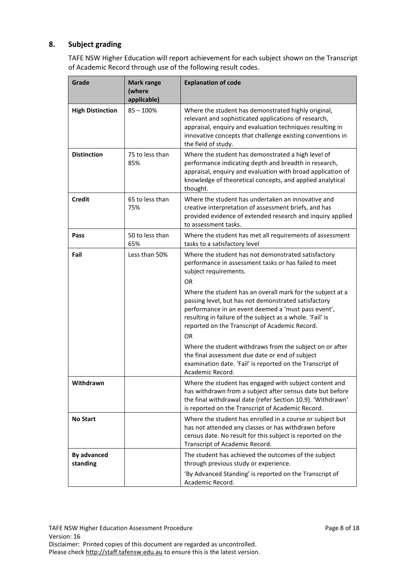# <span id="page-7-0"></span>**8. Subject grading**

TAFE NSW Higher Education will report achievement for each subject shown on the Transcript of Academic Record through use of the following result codes.

| Grade                   | <b>Mark range</b><br>(where<br>applicable) | <b>Explanation of code</b>                                                                                                                                                                                                                                                               |
|-------------------------|--------------------------------------------|------------------------------------------------------------------------------------------------------------------------------------------------------------------------------------------------------------------------------------------------------------------------------------------|
| <b>High Distinction</b> | $85 - 100%$                                | Where the student has demonstrated highly original,<br>relevant and sophisticated applications of research,<br>appraisal, enquiry and evaluation techniques resulting in<br>innovative concepts that challenge existing conventions in<br>the field of study.                            |
| <b>Distinction</b>      | 75 to less than<br>85%                     | Where the student has demonstrated a high level of<br>performance indicating depth and breadth in research,<br>appraisal, enquiry and evaluation with broad application of<br>knowledge of theoretical concepts, and applied analytical<br>thought.                                      |
| <b>Credit</b>           | 65 to less than<br>75%                     | Where the student has undertaken an innovative and<br>creative interpretation of assessment briefs, and has<br>provided evidence of extended research and inquiry applied<br>to assessment tasks.                                                                                        |
| Pass                    | 50 to less than<br>65%                     | Where the student has met all requirements of assessment<br>tasks to a satisfactory level                                                                                                                                                                                                |
| Fail                    | Less than 50%                              | Where the student has not demonstrated satisfactory<br>performance in assessment tasks or has failed to meet<br>subject requirements.<br><b>OR</b>                                                                                                                                       |
|                         |                                            | Where the student has an overall mark for the subject at a<br>passing level, but has not demonstrated satisfactory<br>performance in an event deemed a 'must pass event',<br>resulting in failure of the subject as a whole. 'Fail' is<br>reported on the Transcript of Academic Record. |
|                         |                                            | 0R<br>Where the student withdraws from the subject on or after<br>the final assessment due date or end of subject<br>examination date. 'Fail' is reported on the Transcript of<br>Academic Record.                                                                                       |
| Withdrawn               |                                            | Where the student has engaged with subject content and<br>has withdrawn from a subject after census date but before<br>the final withdrawal date (refer Section 10.9). 'Withdrawn'<br>is reported on the Transcript of Academic Record.                                                  |
| <b>No Start</b>         |                                            | Where the student has enrolled in a course or subject but<br>has not attended any classes or has withdrawn before<br>census date. No result for this subject is reported on the<br>Transcript of Academic Record.                                                                        |
| By advanced<br>standing |                                            | The student has achieved the outcomes of the subject<br>through previous study or experience.                                                                                                                                                                                            |
|                         |                                            | 'By Advanced Standing' is reported on the Transcript of<br>Academic Record.                                                                                                                                                                                                              |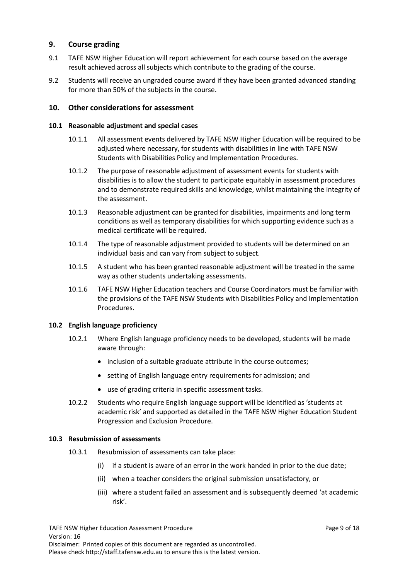# <span id="page-8-0"></span>**9. Course grading**

- 9.1 TAFE NSW Higher Education will report achievement for each course based on the average result achieved across all subjects which contribute to the grading of the course.
- 9.2 Students will receive an ungraded course award if they have been granted advanced standing for more than 50% of the subjects in the course.

### <span id="page-8-1"></span>**10. Other considerations for assessment**

#### **10.1 Reasonable adjustment and special cases**

- 10.1.1 All assessment events delivered by TAFE NSW Higher Education will be required to be adjusted where necessary, for students with disabilities in line with TAFE NSW Students with Disabilities Policy and Implementation Procedures.
- 10.1.2 The purpose of reasonable adjustment of assessment events for students with disabilities is to allow the student to participate equitably in assessment procedures and to demonstrate required skills and knowledge, whilst maintaining the integrity of the assessment.
- 10.1.3 Reasonable adjustment can be granted for disabilities, impairments and long term conditions as well as temporary disabilities for which supporting evidence such as a medical certificate will be required.
- 10.1.4 The type of reasonable adjustment provided to students will be determined on an individual basis and can vary from subject to subject.
- 10.1.5 A student who has been granted reasonable adjustment will be treated in the same way as other students undertaking assessments.
- 10.1.6 TAFE NSW Higher Education teachers and Course Coordinators must be familiar with the provisions of the TAFE NSW Students with Disabilities Policy and Implementation Procedures.

#### **10.2 English language proficiency**

- 10.2.1 Where English language proficiency needs to be developed, students will be made aware through:
	- inclusion of a suitable graduate attribute in the course outcomes;
	- setting of English language entry requirements for admission; and
	- use of grading criteria in specific assessment tasks.
- 10.2.2 Students who require English language support will be identified as 'students at academic risk' and supported as detailed in the TAFE NSW Higher Education Student Progression and Exclusion Procedure.

#### **10.3 Resubmission of assessments**

- 10.3.1 Resubmission of assessments can take place:
	- (i) if a student is aware of an error in the work handed in prior to the due date;
	- (ii) when a teacher considers the original submission unsatisfactory, or
	- (iii) where a student failed an assessment and is subsequently deemed 'at academic risk'.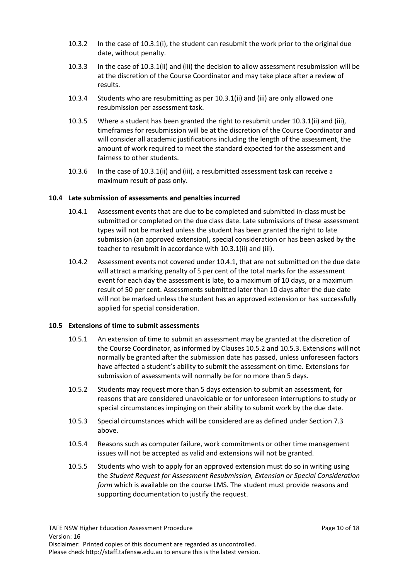- 10.3.2 In the case of 10.3.1(i), the student can resubmit the work prior to the original due date, without penalty.
- 10.3.3 In the case of 10.3.1(ii) and (iii) the decision to allow assessment resubmission will be at the discretion of the Course Coordinator and may take place after a review of results.
- 10.3.4 Students who are resubmitting as per 10.3.1(ii) and (iii) are only allowed one resubmission per assessment task.
- 10.3.5 Where a student has been granted the right to resubmit under 10.3.1(ii) and (iii), timeframes for resubmission will be at the discretion of the Course Coordinator and will consider all academic justifications including the length of the assessment, the amount of work required to meet the standard expected for the assessment and fairness to other students.
- 10.3.6 In the case of 10.3.1(ii) and (iii), a resubmitted assessment task can receive a maximum result of pass only.

# **10.4 Late submission of assessments and penalties incurred**

- 10.4.1 Assessment events that are due to be completed and submitted in-class must be submitted or completed on the due class date. Late submissions of these assessment types will not be marked unless the student has been granted the right to late submission (an approved extension), special consideration or has been asked by the teacher to resubmit in accordance with 10.3.1(ii) and (iii).
- 10.4.2 Assessment events not covered under 10.4.1, that are not submitted on the due date will attract a marking penalty of 5 per cent of the total marks for the assessment event for each day the assessment is late, to a maximum of 10 days, or a maximum result of 50 per cent. Assessments submitted later than 10 days after the due date will not be marked unless the student has an approved extension or has successfully applied for special consideration.

#### **10.5 Extensions of time to submit assessments**

- 10.5.1 An extension of time to submit an assessment may be granted at the discretion of the Course Coordinator, as informed by Clauses 10.5.2 and 10.5.3. Extensions will not normally be granted after the submission date has passed, unless unforeseen factors have affected a student's ability to submit the assessment on time. Extensions for submission of assessments will normally be for no more than 5 days.
- 10.5.2 Students may request more than 5 days extension to submit an assessment, for reasons that are considered unavoidable or for unforeseen interruptions to study or special circumstances impinging on their ability to submit work by the due date.
- 10.5.3 Special circumstances which will be considered are as defined under Section 7.3 above.
- 10.5.4 Reasons such as computer failure, work commitments or other time management issues will not be accepted as valid and extensions will not be granted.
- 10.5.5 Students who wish to apply for an approved extension must do so in writing using the *Student Request for Assessment Resubmission, Extension or Special Consideration form* which is available on the course LMS. The student must provide reasons and supporting documentation to justify the request.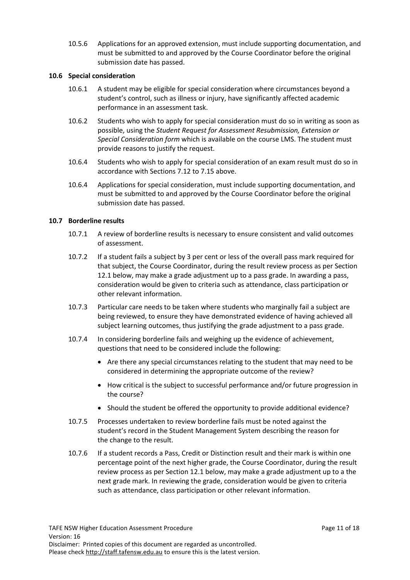10.5.6 Applications for an approved extension, must include supporting documentation, and must be submitted to and approved by the Course Coordinator before the original submission date has passed.

### **10.6 Special consideration**

- 10.6.1 A student may be eligible for special consideration where circumstances beyond a student's control, such as illness or injury, have significantly affected academic performance in an assessment task.
- 10.6.2 Students who wish to apply for special consideration must do so in writing as soon as possible, using the *Student Request for Assessment Resubmission, Extension or Special Consideration form* which is available on the course LMS. The student must provide reasons to justify the request.
- 10.6.4 Students who wish to apply for special consideration of an exam result must do so in accordance with Sections 7.12 to 7.15 above.
- 10.6.4 Applications for special consideration, must include supporting documentation, and must be submitted to and approved by the Course Coordinator before the original submission date has passed.

# **10.7 Borderline results**

- 10.7.1 A review of borderline results is necessary to ensure consistent and valid outcomes of assessment.
- 10.7.2 If a student fails a subject by 3 per cent or less of the overall pass mark required for that subject, the Course Coordinator, during the result review process as per Section 12.1 below, may make a grade adjustment up to a pass grade. In awarding a pass, consideration would be given to criteria such as attendance, class participation or other relevant information.
- 10.7.3 Particular care needs to be taken where students who marginally fail a subject are being reviewed, to ensure they have demonstrated evidence of having achieved all subject learning outcomes, thus justifying the grade adjustment to a pass grade.
- 10.7.4 In considering borderline fails and weighing up the evidence of achievement, questions that need to be considered include the following:
	- Are there any special circumstances relating to the student that may need to be considered in determining the appropriate outcome of the review?
	- How critical is the subject to successful performance and/or future progression in the course?
	- Should the student be offered the opportunity to provide additional evidence?
- 10.7.5 Processes undertaken to review borderline fails must be noted against the student's record in the Student Management System describing the reason for the change to the result.
- 10.7.6 If a student records a Pass, Credit or Distinction result and their mark is within one percentage point of the next higher grade, the Course Coordinator, during the result review process as per Section 12.1 below, may make a grade adjustment up to a the next grade mark. In reviewing the grade, consideration would be given to criteria such as attendance, class participation or other relevant information.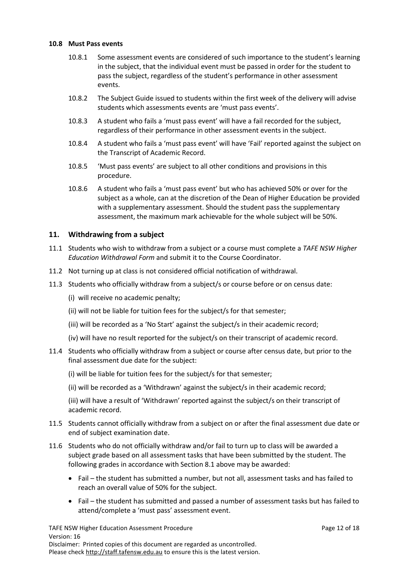#### **10.8 Must Pass events**

- 10.8.1 Some assessment events are considered of such importance to the student's learning in the subject, that the individual event must be passed in order for the student to pass the subject, regardless of the student's performance in other assessment events.
- 10.8.2 The Subject Guide issued to students within the first week of the delivery will advise students which assessments events are 'must pass events'.
- 10.8.3 A student who fails a 'must pass event' will have a fail recorded for the subject, regardless of their performance in other assessment events in the subject.
- 10.8.4 A student who fails a 'must pass event' will have 'Fail' reported against the subject on the Transcript of Academic Record.
- 10.8.5 'Must pass events' are subject to all other conditions and provisions in this procedure.
- 10.8.6 A student who fails a 'must pass event' but who has achieved 50% or over for the subject as a whole, can at the discretion of the Dean of Higher Education be provided with a supplementary assessment. Should the student pass the supplementary assessment, the maximum mark achievable for the whole subject will be 50%.

# <span id="page-11-0"></span>**11. Withdrawing from a subject**

- 11.1 Students who wish to withdraw from a subject or a course must complete a *TAFE NSW Higher Education Withdrawal Form* and submit it to the Course Coordinator.
- 11.2 Not turning up at class is not considered official notification of withdrawal.
- 11.3 Students who officially withdraw from a subject/s or course before or on census date:
	- (i) will receive no academic penalty;
	- (ii) will not be liable for tuition fees for the subject/s for that semester;
	- (iii) will be recorded as a 'No Start' against the subject/s in their academic record;
	- (iv) will have no result reported for the subject/s on their transcript of academic record.
- 11.4 Students who officially withdraw from a subject or course after census date, but prior to the final assessment due date for the subject:
	- (i) will be liable for tuition fees for the subject/s for that semester;
	- (ii) will be recorded as a 'Withdrawn' against the subject/s in their academic record;

(iii) will have a result of 'Withdrawn' reported against the subject/s on their transcript of academic record.

- 11.5 Students cannot officially withdraw from a subject on or after the final assessment due date or end of subject examination date.
- 11.6 Students who do not officially withdraw and/or fail to turn up to class will be awarded a subject grade based on all assessment tasks that have been submitted by the student. The following grades in accordance with Section 8.1 above may be awarded:
	- Fail the student has submitted a number, but not all, assessment tasks and has failed to reach an overall value of 50% for the subject.
	- Fail the student has submitted and passed a number of assessment tasks but has failed to attend/complete a 'must pass' assessment event.

TAFE NSW Higher Education Assessment Procedure **Page 12 of 18** Page 12 of 18 Version: 16 Disclaimer: Printed copies of this document are regarded as uncontrolled. Please check [http://staff.tafensw.edu.au](http://staff.tafensw.edu.au/) to ensure this is the latest version.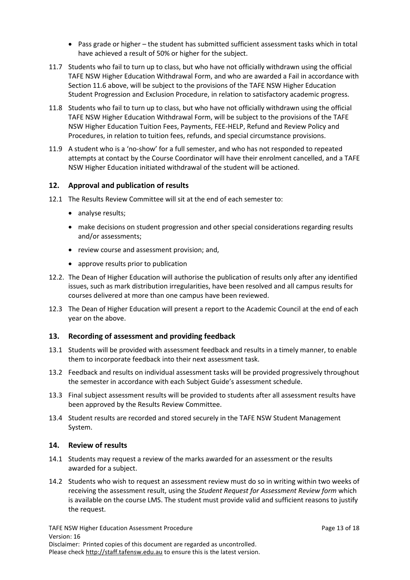- Pass grade or higher the student has submitted sufficient assessment tasks which in total have achieved a result of 50% or higher for the subject.
- 11.7 Students who fail to turn up to class, but who have not officially withdrawn using the official TAFE NSW Higher Education Withdrawal Form, and who are awarded a Fail in accordance with Section 11.6 above, will be subject to the provisions of the TAFE NSW Higher Education Student Progression and Exclusion Procedure, in relation to satisfactory academic progress.
- 11.8 Students who fail to turn up to class, but who have not officially withdrawn using the official TAFE NSW Higher Education Withdrawal Form, will be subject to the provisions of the TAFE NSW Higher Education Tuition Fees, Payments, FEE-HELP, Refund and Review Policy and Procedures, in relation to tuition fees, refunds, and special circumstance provisions.
- 11.9 A student who is a 'no-show' for a full semester, and who has not responded to repeated attempts at contact by the Course Coordinator will have their enrolment cancelled, and a TAFE NSW Higher Education initiated withdrawal of the student will be actioned.

# <span id="page-12-0"></span>**12. Approval and publication of results**

- 12.1 The Results Review Committee will sit at the end of each semester to:
	- analyse results;
	- make decisions on student progression and other special considerations regarding results and/or assessments;
	- review course and assessment provision; and,
	- approve results prior to publication
- 12.2. The Dean of Higher Education will authorise the publication of results only after any identified issues, such as mark distribution irregularities, have been resolved and all campus results for courses delivered at more than one campus have been reviewed.
- 12.3 The Dean of Higher Education will present a report to the Academic Council at the end of each year on the above.

# <span id="page-12-1"></span>**13. Recording of assessment and providing feedback**

- 13.1 Students will be provided with assessment feedback and results in a timely manner, to enable them to incorporate feedback into their next assessment task.
- 13.2 Feedback and results on individual assessment tasks will be provided progressively throughout the semester in accordance with each Subject Guide's assessment schedule.
- 13.3 Final subject assessment results will be provided to students after all assessment results have been approved by the Results Review Committee.
- 13.4 Student results are recorded and stored securely in the TAFE NSW Student Management System.

#### <span id="page-12-2"></span>**14. Review of results**

- 14.1 Students may request a review of the marks awarded for an assessment or the results awarded for a subject.
- 14.2 Students who wish to request an assessment review must do so in writing within two weeks of receiving the assessment result, using the *Student Request for Assessment Review form* which is available on the course LMS. The student must provide valid and sufficient reasons to justify the request.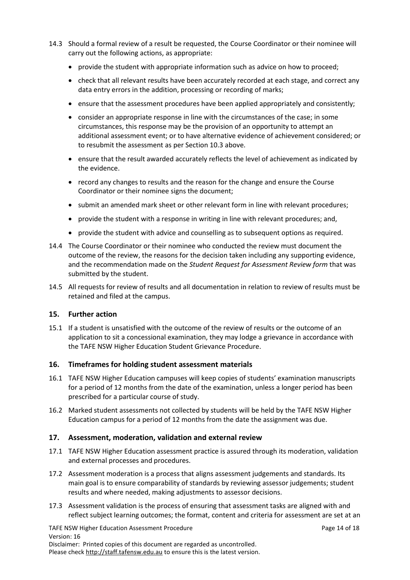- 14.3 Should a formal review of a result be requested, the Course Coordinator or their nominee will carry out the following actions, as appropriate:
	- provide the student with appropriate information such as advice on how to proceed;
	- check that all relevant results have been accurately recorded at each stage, and correct any data entry errors in the addition, processing or recording of marks;
	- ensure that the assessment procedures have been applied appropriately and consistently;
	- consider an appropriate response in line with the circumstances of the case; in some circumstances, this response may be the provision of an opportunity to attempt an additional assessment event; or to have alternative evidence of achievement considered; or to resubmit the assessment as per Section 10.3 above.
	- ensure that the result awarded accurately reflects the level of achievement as indicated by the evidence.
	- record any changes to results and the reason for the change and ensure the Course Coordinator or their nominee signs the document;
	- submit an amended mark sheet or other relevant form in line with relevant procedures;
	- provide the student with a response in writing in line with relevant procedures; and,
	- provide the student with advice and counselling as to subsequent options as required.
- 14.4 The Course Coordinator or their nominee who conducted the review must document the outcome of the review, the reasons for the decision taken including any supporting evidence, and the recommendation made on the *Student Request for Assessment Review form* that was submitted by the student.
- 14.5 All requests for review of results and all documentation in relation to review of results must be retained and filed at the campus.

#### <span id="page-13-0"></span>**15. Further action**

15.1 If a student is unsatisfied with the outcome of the review of results or the outcome of an application to sit a concessional examination, they may lodge a grievance in accordance with the TAFE NSW Higher Education Student Grievance Procedure.

#### <span id="page-13-1"></span>**16. Timeframes for holding student assessment materials**

- 16.1 TAFE NSW Higher Education campuses will keep copies of students' examination manuscripts for a period of 12 months from the date of the examination, unless a longer period has been prescribed for a particular course of study.
- 16.2 Marked student assessments not collected by students will be held by the TAFE NSW Higher Education campus for a period of 12 months from the date the assignment was due.

#### <span id="page-13-2"></span>**17. Assessment, moderation, validation and external review**

- 17.1 TAFE NSW Higher Education assessment practice is assured through its moderation, validation and external processes and procedures.
- 17.2 Assessment moderation is a process that aligns assessment judgements and standards. Its main goal is to ensure comparability of standards by reviewing assessor judgements; student results and where needed, making adjustments to assessor decisions.
- 17.3 Assessment validation is the process of ensuring that assessment tasks are aligned with and reflect subject learning outcomes; the format, content and criteria for assessment are set at an

TAFE NSW Higher Education Assessment Procedure **Page 14 of 18** Page 14 of 18 Version: 16 Disclaimer: Printed copies of this document are regarded as uncontrolled. Please check [http://staff.tafensw.edu.au](http://staff.tafensw.edu.au/) to ensure this is the latest version.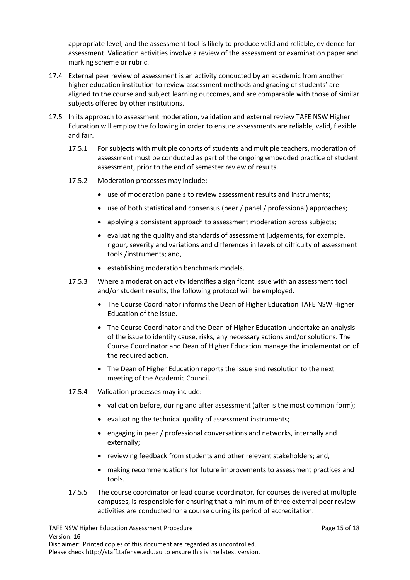appropriate level; and the assessment tool is likely to produce valid and reliable, evidence for assessment. Validation activities involve a review of the assessment or examination paper and marking scheme or rubric.

- 17.4 External peer review of assessment is an activity conducted by an academic from another higher education institution to review assessment methods and grading of students' are aligned to the course and subject learning outcomes, and are comparable with those of similar subjects offered by other institutions.
- 17.5 In its approach to assessment moderation, validation and external review TAFE NSW Higher Education will employ the following in order to ensure assessments are reliable, valid, flexible and fair.
	- 17.5.1 For subjects with multiple cohorts of students and multiple teachers, moderation of assessment must be conducted as part of the ongoing embedded practice of student assessment, prior to the end of semester review of results.
	- 17.5.2 Moderation processes may include:
		- use of moderation panels to review assessment results and instruments;
		- use of both statistical and consensus (peer / panel / professional) approaches;
		- applying a consistent approach to assessment moderation across subjects;
		- evaluating the quality and standards of assessment judgements, for example, rigour, severity and variations and differences in levels of difficulty of assessment tools /instruments; and,
		- establishing moderation benchmark models.
	- 17.5.3 Where a moderation activity identifies a significant issue with an assessment tool and/or student results, the following protocol will be employed.
		- The Course Coordinator informs the Dean of Higher Education TAFE NSW Higher Education of the issue.
		- The Course Coordinator and the Dean of Higher Education undertake an analysis of the issue to identify cause, risks, any necessary actions and/or solutions. The Course Coordinator and Dean of Higher Education manage the implementation of the required action.
		- The Dean of Higher Education reports the issue and resolution to the next meeting of the Academic Council.
	- 17.5.4 Validation processes may include:
		- validation before, during and after assessment (after is the most common form);
		- evaluating the technical quality of assessment instruments;
		- engaging in peer / professional conversations and networks, internally and externally;
		- reviewing feedback from students and other relevant stakeholders; and,
		- making recommendations for future improvements to assessment practices and tools.
	- 17.5.5 The course coordinator or lead course coordinator, for courses delivered at multiple campuses, is responsible for ensuring that a minimum of three external peer review activities are conducted for a course during its period of accreditation.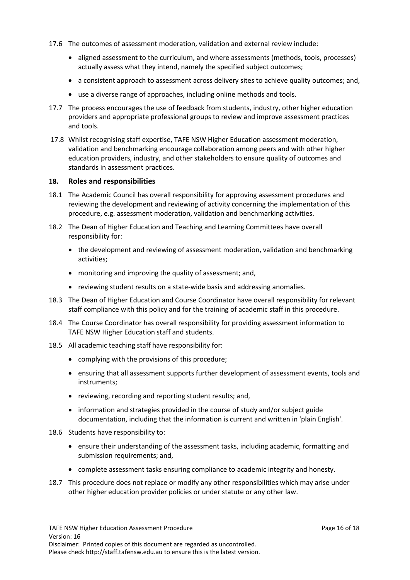- 17.6 The outcomes of assessment moderation, validation and external review include:
	- aligned assessment to the curriculum, and where assessments (methods, tools, processes) actually assess what they intend, namely the specified subject outcomes;
	- a consistent approach to assessment across delivery sites to achieve quality outcomes; and,
	- use a diverse range of approaches, including online methods and tools.
- 17.7 The process encourages the use of feedback from students, industry, other higher education providers and appropriate professional groups to review and improve assessment practices and tools.
- 17.8 Whilst recognising staff expertise, TAFE NSW Higher Education assessment moderation, validation and benchmarking encourage collaboration among peers and with other higher education providers, industry, and other stakeholders to ensure quality of outcomes and standards in assessment practices.

#### <span id="page-15-0"></span>**18. Roles and responsibilities**

- 18.1 The Academic Council has overall responsibility for approving assessment procedures and reviewing the development and reviewing of activity concerning the implementation of this procedure, e.g. assessment moderation, validation and benchmarking activities.
- 18.2 The Dean of Higher Education and Teaching and Learning Committees have overall responsibility for:
	- the development and reviewing of assessment moderation, validation and benchmarking activities;
	- monitoring and improving the quality of assessment; and,
	- reviewing student results on a state-wide basis and addressing anomalies.
- 18.3 The Dean of Higher Education and Course Coordinator have overall responsibility for relevant staff compliance with this policy and for the training of academic staff in this procedure.
- 18.4 The Course Coordinator has overall responsibility for providing assessment information to TAFE NSW Higher Education staff and students.
- 18.5 All academic teaching staff have responsibility for:
	- complying with the provisions of this procedure;
	- ensuring that all assessment supports further development of assessment events, tools and instruments;
	- reviewing, recording and reporting student results; and,
	- information and strategies provided in the course of study and/or subject guide documentation, including that the information is current and written in 'plain English'.
- 18.6 Students have responsibility to:
	- ensure their understanding of the assessment tasks, including academic, formatting and submission requirements; and,
	- complete assessment tasks ensuring compliance to academic integrity and honesty.
- 18.7 This procedure does not replace or modify any other responsibilities which may arise under other higher education provider policies or under statute or any other law.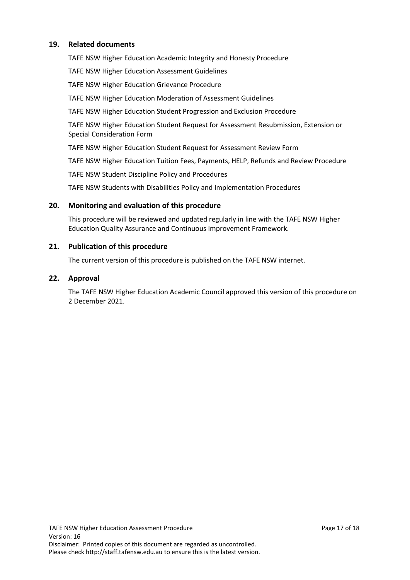# <span id="page-16-0"></span>**19. Related documents**

TAFE NSW Higher Education Academic Integrity and Honesty Procedure

TAFE NSW Higher Education Assessment Guidelines

TAFE NSW Higher Education Grievance Procedure

TAFE NSW Higher Education Moderation of Assessment Guidelines

TAFE NSW Higher Education Student Progression and Exclusion Procedure

TAFE NSW Higher Education Student Request for Assessment Resubmission, Extension or Special Consideration Form

TAFE NSW Higher Education Student Request for Assessment Review Form

TAFE NSW Higher Education Tuition Fees, Payments, HELP, Refunds and Review Procedure

TAFE NSW Student Discipline Policy and Procedures

TAFE NSW Students with Disabilities Policy and Implementation Procedures

#### <span id="page-16-1"></span>**20. Monitoring and evaluation of this procedure**

This procedure will be reviewed and updated regularly in line with the TAFE NSW Higher Education Quality Assurance and Continuous Improvement Framework.

#### <span id="page-16-2"></span>**21. Publication of this procedure**

The current version of this procedure is published on the TAFE NSW internet.

#### <span id="page-16-3"></span>**22. Approval**

The TAFE NSW Higher Education Academic Council approved this version of this procedure on 2 December 2021.